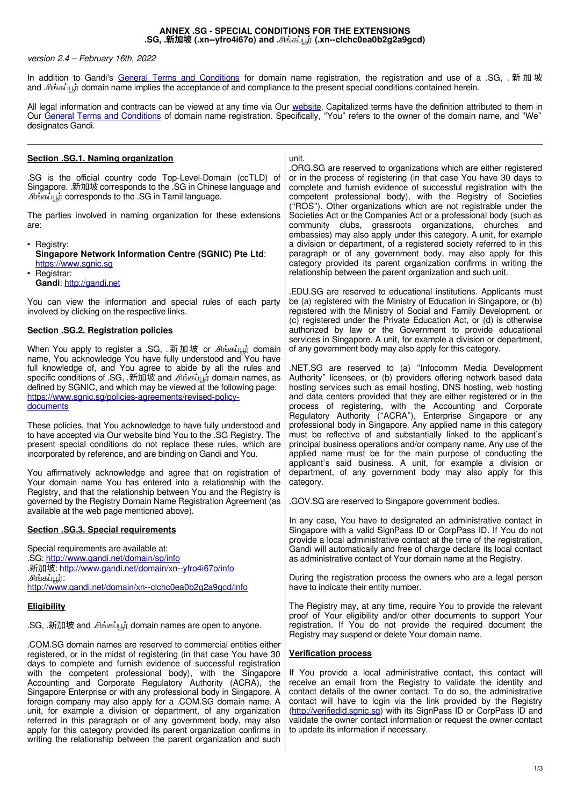### **ANNEX .SG - SPECIAL CONDITIONS FOR THE EXTENSIONS .SG, .新加坡 (.xn--yfro4i67o) and .**சிங்கப்பூர்**(.xn--clchc0ea0b2g2a9gcd)**

### version 2.4 – February 16th, 2022

In addition to Gandi's [General Terms and Conditions](http://www.gandi.net/contracts) for domain name registration, the registration and use of a .SG, . 新加坡 and .சிங்கப்பூர்domain name implies the acceptance of and compliance to the present special conditions contained herein.

All legal information and contracts can be viewed at any time via Our [website.](http://www.gandi.net/) Capitalized terms have the definition attributed to them in Our [General Terms and Conditions](http://www.gandi.net/contracts) of domain name registration. Specifically, "You" refers to the owner of the domain name, and "We" designates Gandi.

| unit.                                                                                                                                                                                                                                                                                                                                                                                                                                                                                                                                                                                                                                                                                                                                                                                                                                                                                                                                                                                                                                                                                                                                                                                                                                                                                                                                                                                                                                                                                                                                                                                                                                                                                                                                                                                                  |
|--------------------------------------------------------------------------------------------------------------------------------------------------------------------------------------------------------------------------------------------------------------------------------------------------------------------------------------------------------------------------------------------------------------------------------------------------------------------------------------------------------------------------------------------------------------------------------------------------------------------------------------------------------------------------------------------------------------------------------------------------------------------------------------------------------------------------------------------------------------------------------------------------------------------------------------------------------------------------------------------------------------------------------------------------------------------------------------------------------------------------------------------------------------------------------------------------------------------------------------------------------------------------------------------------------------------------------------------------------------------------------------------------------------------------------------------------------------------------------------------------------------------------------------------------------------------------------------------------------------------------------------------------------------------------------------------------------------------------------------------------------------------------------------------------------|
| .ORG.SG are reserved to organizations which are either registered<br>or in the process of registering (in that case You have 30 days to<br>complete and furnish evidence of successful registration with the<br>competent professional body), with the Registry of Societies<br>("ROS"). Other organizations which are not registrable under the                                                                                                                                                                                                                                                                                                                                                                                                                                                                                                                                                                                                                                                                                                                                                                                                                                                                                                                                                                                                                                                                                                                                                                                                                                                                                                                                                                                                                                                       |
| Societies Act or the Companies Act or a professional body (such as<br>community clubs, grassroots organizations, churches and<br>embassies) may also apply under this category. A unit, for example                                                                                                                                                                                                                                                                                                                                                                                                                                                                                                                                                                                                                                                                                                                                                                                                                                                                                                                                                                                                                                                                                                                                                                                                                                                                                                                                                                                                                                                                                                                                                                                                    |
| a division or department, of a registered society referred to in this<br>paragraph or of any government body, may also apply for this<br>category provided its parent organization confirms in writing the<br>relationship between the parent organization and such unit.                                                                                                                                                                                                                                                                                                                                                                                                                                                                                                                                                                                                                                                                                                                                                                                                                                                                                                                                                                                                                                                                                                                                                                                                                                                                                                                                                                                                                                                                                                                              |
| .EDU.SG are reserved to educational institutions. Applicants must<br>be (a) registered with the Ministry of Education in Singapore, or (b)<br>registered with the Ministry of Social and Family Development, or<br>(c) registered under the Private Education Act, or (d) is otherwise                                                                                                                                                                                                                                                                                                                                                                                                                                                                                                                                                                                                                                                                                                                                                                                                                                                                                                                                                                                                                                                                                                                                                                                                                                                                                                                                                                                                                                                                                                                 |
| authorized by law or the Government to provide educational<br>services in Singapore. A unit, for example a division or department,<br>of any government body may also apply for this category.                                                                                                                                                                                                                                                                                                                                                                                                                                                                                                                                                                                                                                                                                                                                                                                                                                                                                                                                                                                                                                                                                                                                                                                                                                                                                                                                                                                                                                                                                                                                                                                                         |
| .NET.SG are reserved to (a) "Infocomm Media Development<br>Authority" licensees, or (b) providers offering network-based data<br>hosting services such as email hosting, DNS hosting, web hosting<br>and data centers provided that they are either registered or in the<br>process of registering, with the Accounting and Corporate<br>Regulatory Authority ("ACRA"), Enterprise Singapore or any                                                                                                                                                                                                                                                                                                                                                                                                                                                                                                                                                                                                                                                                                                                                                                                                                                                                                                                                                                                                                                                                                                                                                                                                                                                                                                                                                                                                    |
| professional body in Singapore. Any applied name in this category<br>must be reflective of and substantially linked to the applicant's<br>principal business operations and/or company name. Any use of the<br>applied name must be for the main purpose of conducting the<br>applicant's said business. A unit, for example a division or<br>department, of any government body may also apply for this                                                                                                                                                                                                                                                                                                                                                                                                                                                                                                                                                                                                                                                                                                                                                                                                                                                                                                                                                                                                                                                                                                                                                                                                                                                                                                                                                                                               |
| category.<br>.GOV.SG are reserved to Singapore government bodies.                                                                                                                                                                                                                                                                                                                                                                                                                                                                                                                                                                                                                                                                                                                                                                                                                                                                                                                                                                                                                                                                                                                                                                                                                                                                                                                                                                                                                                                                                                                                                                                                                                                                                                                                      |
| In any case, You have to designated an administrative contact in<br>Singapore with a valid SignPass ID or CorpPass ID. If You do not<br>provide a local administrative contact at the time of the registration,                                                                                                                                                                                                                                                                                                                                                                                                                                                                                                                                                                                                                                                                                                                                                                                                                                                                                                                                                                                                                                                                                                                                                                                                                                                                                                                                                                                                                                                                                                                                                                                        |
| Gandi will automatically and free of charge declare its local contact<br>as administrative contact of Your domain name at the Registry.                                                                                                                                                                                                                                                                                                                                                                                                                                                                                                                                                                                                                                                                                                                                                                                                                                                                                                                                                                                                                                                                                                                                                                                                                                                                                                                                                                                                                                                                                                                                                                                                                                                                |
| During the registration process the owners who are a legal person<br>have to indicate their entity number.                                                                                                                                                                                                                                                                                                                                                                                                                                                                                                                                                                                                                                                                                                                                                                                                                                                                                                                                                                                                                                                                                                                                                                                                                                                                                                                                                                                                                                                                                                                                                                                                                                                                                             |
| The Registry may, at any time, require You to provide the relevant<br>proof of Your eligibility and/or other documents to support Your                                                                                                                                                                                                                                                                                                                                                                                                                                                                                                                                                                                                                                                                                                                                                                                                                                                                                                                                                                                                                                                                                                                                                                                                                                                                                                                                                                                                                                                                                                                                                                                                                                                                 |
| registration. If You do not provide the required document the<br>Registry may suspend or delete Your domain name.                                                                                                                                                                                                                                                                                                                                                                                                                                                                                                                                                                                                                                                                                                                                                                                                                                                                                                                                                                                                                                                                                                                                                                                                                                                                                                                                                                                                                                                                                                                                                                                                                                                                                      |
| <b>Verification process</b>                                                                                                                                                                                                                                                                                                                                                                                                                                                                                                                                                                                                                                                                                                                                                                                                                                                                                                                                                                                                                                                                                                                                                                                                                                                                                                                                                                                                                                                                                                                                                                                                                                                                                                                                                                            |
| If You provide a local administrative contact, this contact will<br>receive an email from the Registry to validate the identity and<br>contact details of the owner contact. To do so, the administrative<br>contact will have to login via the link provided by the Registry<br>(http://verifiedid.sgnic.sg) with its SignPass ID or CorpPass ID and<br>validate the owner contact information or request the owner contact<br>to update its information if necessary.                                                                                                                                                                                                                                                                                                                                                                                                                                                                                                                                                                                                                                                                                                                                                                                                                                                                                                                                                                                                                                                                                                                                                                                                                                                                                                                                |
| .SG is the official country code Top-Level-Domain (ccTLD) of<br>Singapore. 新加坡 corresponds to the .SG in Chinese language and<br>The parties involved in naming organization for these extensions<br>You can view the information and special rules of each party<br>When You apply to register a .SG, . 新加坡 or .சிங்கப்பூர் domain<br>name, You acknowledge You have fully understood and You have<br>full knowledge of, and You agree to abide by all the rules and<br>specific conditions of .SG, 新加坡 and Amedication domain names, as<br>These policies, that You acknowledge to have fully understood and<br>to have accepted via Our website bind You to the .SG Registry. The<br>present special conditions do not replace these rules, which are<br>You affirmatively acknowledge and agree that on registration of<br>Your domain name You has entered into a relationship with the<br>Registry, and that the relationship between You and the Registry is<br>governed by the Registry Domain Name Registration Agreement (as<br>COM.SG domain names are reserved to commercial entities either.<br>registered, or in the midst of registering (in that case You have 30<br>days to complete and furnish evidence of successful registration<br>with the competent professional body), with the Singapore<br>Accounting and Corporate Regulatory Authority (ACRA), the<br>Singapore Enterprise or with any professional body in Singapore. A<br>foreign company may also apply for a .COM.SG domain name. A<br>unit, for example a division or department, of any organization<br>referred in this paragraph or of any government body, may also<br>apply for this category provided its parent organization confirms in<br>writing the relationship between the parent organization and such |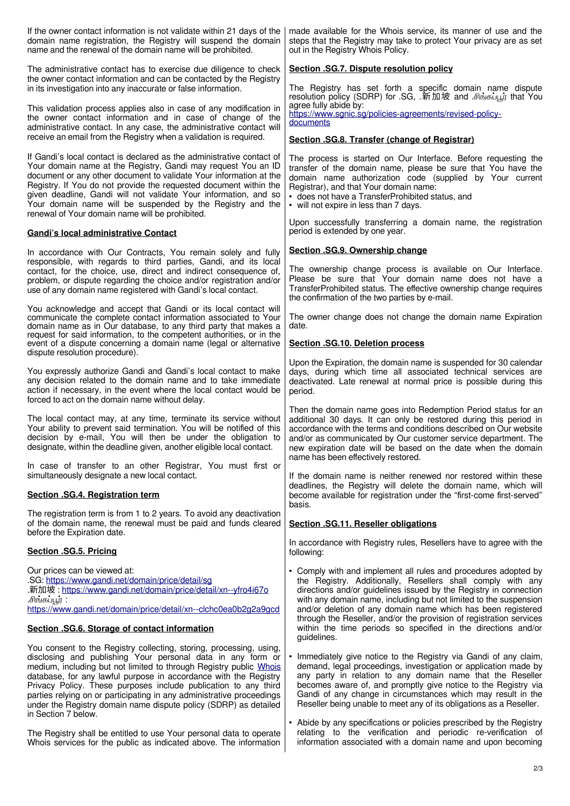| If the owner contact information is not validate within 21 days of the<br>domain name registration, the Registry will suspend the domain<br>name and the renewal of the domain name will be prohibited.                                                                                                                                                                                                                                                                                                             | made available for the Whois service, its manner of use and the<br>steps that the Registry may take to protect Your privacy are as set<br>out in the Registry Whois Policy.                                                                                                                                                                                                                                     |
|---------------------------------------------------------------------------------------------------------------------------------------------------------------------------------------------------------------------------------------------------------------------------------------------------------------------------------------------------------------------------------------------------------------------------------------------------------------------------------------------------------------------|-----------------------------------------------------------------------------------------------------------------------------------------------------------------------------------------------------------------------------------------------------------------------------------------------------------------------------------------------------------------------------------------------------------------|
| The administrative contact has to exercise due diligence to check<br>the owner contact information and can be contacted by the Registry<br>in its investigation into any inaccurate or false information.                                                                                                                                                                                                                                                                                                           | Section .SG.7. Dispute resolution policy<br>The Registry has set forth a specific domain name dispute                                                                                                                                                                                                                                                                                                           |
| This validation process applies also in case of any modification in                                                                                                                                                                                                                                                                                                                                                                                                                                                 | resolution policy (SDRP) for .SG, 新加坡 and Amising that You<br>agree fully abide by:                                                                                                                                                                                                                                                                                                                             |
| the owner contact information and in case of change of the<br>administrative contact. In any case, the administrative contact will<br>receive an email from the Registry when a validation is required.                                                                                                                                                                                                                                                                                                             | https://www.sgnic.sg/policies-agreements/revised-policy-<br>documents<br>Section .SG.8. Transfer (change of Registrar)                                                                                                                                                                                                                                                                                          |
| If Gandi's local contact is declared as the administrative contact of                                                                                                                                                                                                                                                                                                                                                                                                                                               | The process is started on Our Interface. Before requesting the                                                                                                                                                                                                                                                                                                                                                  |
| Your domain name at the Registry, Gandi may request You an ID<br>document or any other document to validate Your information at the<br>Registry. If You do not provide the requested document within the<br>given deadline, Gandi will not validate Your information, and so<br>Your domain name will be suspended by the Registry and the<br>renewal of Your domain name will be prohibited.                                                                                                                       | transfer of the domain name, please be sure that You have the<br>domain name authorization code (supplied by Your current<br>Registrar), and that Your domain name:<br>• does not have a TransferProhibited status, and<br>• will not expire in less than 7 days.                                                                                                                                               |
| <b>Gandi's local administrative Contact</b>                                                                                                                                                                                                                                                                                                                                                                                                                                                                         | Upon successfully transferring a domain name, the registration<br>period is extended by one year.                                                                                                                                                                                                                                                                                                               |
| In accordance with Our Contracts, You remain solely and fully<br>responsible, with regards to third parties, Gandi, and its local                                                                                                                                                                                                                                                                                                                                                                                   | Section .SG.9. Ownership change                                                                                                                                                                                                                                                                                                                                                                                 |
| contact, for the choice, use, direct and indirect consequence of,<br>problem, or dispute regarding the choice and/or registration and/or<br>use of any domain name registered with Gandi's local contact.                                                                                                                                                                                                                                                                                                           | The ownership change process is available on Our Interface.<br>Please be sure that Your domain name does not have a<br>TransferProhibited status. The effective ownership change requires<br>the confirmation of the two parties by e-mail.                                                                                                                                                                     |
| You acknowledge and accept that Gandi or its local contact will<br>communicate the complete contact information associated to Your<br>domain name as in Our database, to any third party that makes a                                                                                                                                                                                                                                                                                                               | The owner change does not change the domain name Expiration<br>date.                                                                                                                                                                                                                                                                                                                                            |
| request for said information, to the competent authorities, or in the<br>event of a dispute concerning a domain name (legal or alternative<br>dispute resolution procedure).                                                                                                                                                                                                                                                                                                                                        | Section .SG.10. Deletion process                                                                                                                                                                                                                                                                                                                                                                                |
| You expressly authorize Gandi and Gandi's local contact to make<br>any decision related to the domain name and to take immediate<br>action if necessary, in the event where the local contact would be<br>forced to act on the domain name without delay.                                                                                                                                                                                                                                                           | Upon the Expiration, the domain name is suspended for 30 calendar<br>days, during which time all associated technical services are<br>deactivated. Late renewal at normal price is possible during this<br>period.                                                                                                                                                                                              |
| The local contact may, at any time, terminate its service without<br>Your ability to prevent said termination. You will be notified of this<br>decision by e-mail, You will then be under the obligation to<br>designate, within the deadline given, another eligible local contact.                                                                                                                                                                                                                                | Then the domain name goes into Redemption Period status for an<br>additional 30 days. It can only be restored during this period in<br>accordance with the terms and conditions described on Our website<br>and/or as communicated by Our customer service department. The<br>new expiration date will be based on the date when the domain<br>name has been effectively restored.                              |
| In case of transfer to an other Registrar, You must first or<br>simultaneously designate a new local contact.                                                                                                                                                                                                                                                                                                                                                                                                       | If the domain name is neither renewed nor restored within these                                                                                                                                                                                                                                                                                                                                                 |
| Section .SG.4. Registration term                                                                                                                                                                                                                                                                                                                                                                                                                                                                                    | deadlines, the Registry will delete the domain name, which will<br>become available for registration under the "first-come first-served"<br>basis.                                                                                                                                                                                                                                                              |
| The registration term is from 1 to 2 years. To avoid any deactivation<br>of the domain name, the renewal must be paid and funds cleared<br>before the Expiration date.                                                                                                                                                                                                                                                                                                                                              | Section .SG.11. Reseller obligations                                                                                                                                                                                                                                                                                                                                                                            |
| Section .SG.5. Pricing                                                                                                                                                                                                                                                                                                                                                                                                                                                                                              | In accordance with Registry rules, Resellers have to agree with the<br>following:                                                                                                                                                                                                                                                                                                                               |
| Our prices can be viewed at:<br>.SG: https://www.gandi.net/domain/price/detail/sg<br>.新加坡: https://www.gandi.net/domain/price/detail/xn--yfro4i67o<br>.சிங்கப்பூர் :<br>https://www.gandi.net/domain/price/detail/xn--clchc0ea0b2g2a9gcd                                                                                                                                                                                                                                                                            | • Comply with and implement all rules and procedures adopted by<br>the Registry. Additionally, Resellers shall comply with any<br>directions and/or guidelines issued by the Registry in connection<br>with any domain name, including but not limited to the suspension<br>and/or deletion of any domain name which has been registered<br>through the Reseller, and/or the provision of registration services |
| Section .SG.6. Storage of contact information                                                                                                                                                                                                                                                                                                                                                                                                                                                                       | within the time periods so specified in the directions and/or<br>guidelines.                                                                                                                                                                                                                                                                                                                                    |
| You consent to the Registry collecting, storing, processing, using,<br>disclosing and publishing Your personal data in any form or<br>medium, including but not limited to through Registry public Whois<br>database, for any lawful purpose in accordance with the Registry<br>Privacy Policy. These purposes include publication to any third<br>parties relying on or participating in any administrative proceedings<br>under the Registry domain name dispute policy (SDRP) as detailed<br>in Section 7 below. | • Immediately give notice to the Registry via Gandi of any claim,<br>demand, legal proceedings, investigation or application made by<br>any party in relation to any domain name that the Reseller<br>becomes aware of, and promptly give notice to the Registry via<br>Gandi of any change in circumstances which may result in the<br>Reseller being unable to meet any of its obligations as a Reseller.     |
| The Registry shall be entitled to use Your personal data to operate                                                                                                                                                                                                                                                                                                                                                                                                                                                 | • Abide by any specifications or policies prescribed by the Registry<br>relating to the verification and periodic re-verification of                                                                                                                                                                                                                                                                            |

Whois services for the public as indicated above. The information

information associated with a domain name and upon becoming